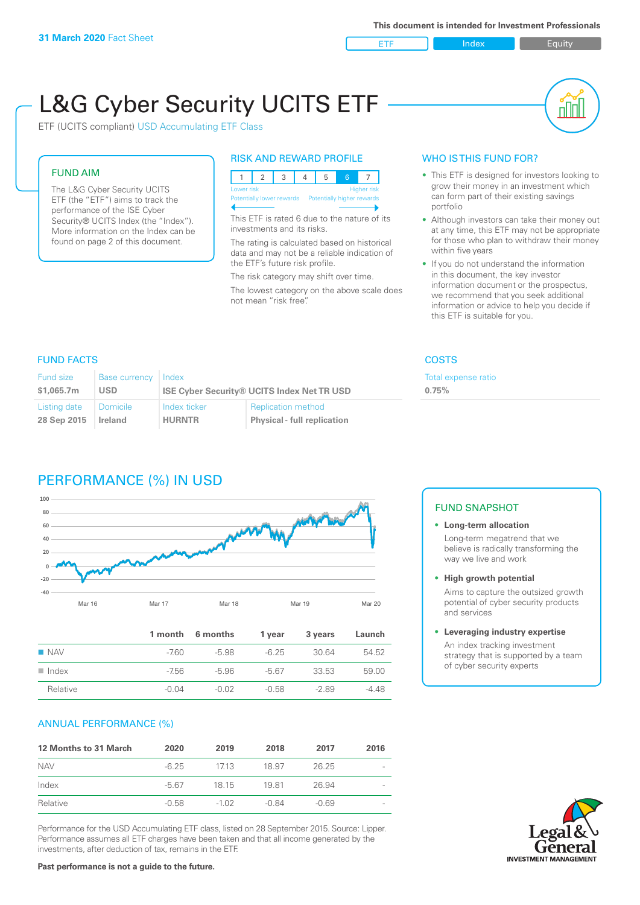ETF Index Buity

nl M

# L&G Cyber Security UCITS ETF

ETF (UCITS compliant) USD Accumulating ETF Class

# FUND AIM

The L&G Cyber Security UCITS ETF (the "ETF") aims to track the performance of the ISE Cyber Security® UCITS Index (the "Index"). More information on the Index can be found on page 2 of this document.

# RISK AND REWARD PROFILE

| Lower risk<br><b>Higher risk</b> |  |  |  |                                                      |  |  |  |
|----------------------------------|--|--|--|------------------------------------------------------|--|--|--|
|                                  |  |  |  | Potentially lower rewards Potentially higher rewards |  |  |  |
|                                  |  |  |  |                                                      |  |  |  |

This ETF is rated 6 due to the nature of its investments and its risks.

The rating is calculated based on historical data and may not be a reliable indication of the ETF's future risk profile.

The risk category may shift over time. The lowest category on the above scale does not mean "risk free".

# WHO IS THIS FUND FOR?

- This ETF is designed for investors looking to grow their money in an investment which can form part of their existing savings portfolio
- Although investors can take their money out at any time, this ETF may not be appropriate for those who plan to withdraw their money within five years
- If you do not understand the information in this document, the key investor information document or the prospectus, we recommend that you seek additional information or advice to help you decide if this ETF is suitable for you.

# FUND FACTS COSTS

**0.75%**

Total expense ratio

| Fund size    | <b>Base currency</b> | Index                                             |                                    |  |
|--------------|----------------------|---------------------------------------------------|------------------------------------|--|
| \$1,065,7m   | <b>USD</b>           | <b>ISE Cyber Security® UCITS Index Net TR USD</b> |                                    |  |
| Listing date | Domicile             | Index ticker                                      | <b>Replication method</b>          |  |
| 28 Sep 2015  | Ireland              | <b>HURNTR</b>                                     | <b>Physical - full replication</b> |  |

# PERFORMANCE (%) IN USD



|                      |         | 1 month 6 months | 1 vear  | 3 years | Launch  |
|----------------------|---------|------------------|---------|---------|---------|
| $\blacksquare$ NAV   | -760    | $-5.98$          | $-6.25$ | 30.64   | 54.52   |
| $\blacksquare$ Index | -7.56   | -5.96            | -5.67   | 33.53   | 59.00   |
| Relative             | $-0.04$ | $-0.02$          | $-0.58$ | $-289$  | $-4.48$ |

# ANNUAL PERFORMANCE (%)

| <b>12 Months to 31 March</b> | 2020    | 2019    | 2018    | 2017    | 2016 |
|------------------------------|---------|---------|---------|---------|------|
| <b>NAV</b>                   | $-6.25$ | 1713    | 18.97   | 26.25   |      |
| Index                        | -5.67   | 18 15   | 1981    | 26.94   |      |
| Relative                     | $-0.58$ | $-1.02$ | $-0.84$ | $-0.69$ |      |

Performance for the USD Accumulating ETF class, listed on 28 September 2015. Source: Lipper. Performance assumes all ETF charges have been taken and that all income generated by the investments, after deduction of tax, remains in the ETF.

# FUND SNAPSHOT

# **• Long-term allocation** Long-term megatrend that we believe is radically transforming the way we live and work

## **• High growth potential**

Aims to capture the outsized growth potential of cyber security products and services

### **• Leveraging industry expertise**

An index tracking investment strategy that is supported by a team of cyber security experts

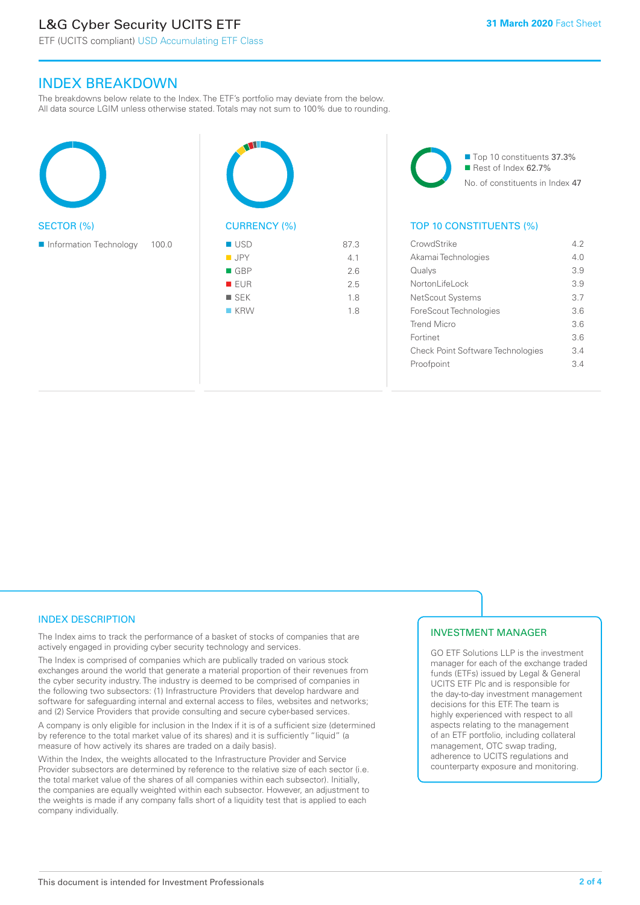# L&G Cyber Security UCITS ETF

# INDEX BREAKDOWN

The breakdowns below relate to the Index. The ETF's portfolio may deviate from the below. All data source LGIM unless otherwise stated. Totals may not sum to 100% due to rounding.





■ Top 10 constituents 37.3% Rest of Index 62.7% No. of constituents in Index 47

# TOP 10 CONSTITUENTS (%)

| CrowdStrike                       | 42              |
|-----------------------------------|-----------------|
| Akamai Technologies               | 40              |
| Qualys                            | 39              |
| Nortonl ifel ock                  | 3.9             |
| NetScout Systems                  | 3.7             |
| ForeScout Technologies            | 36              |
| Trend Micro                       | 36              |
| Fortinet                          | 36              |
| Check Point Software Technologies | $\mathcal{R}$ 4 |
| Proofpoint                        | $\mathcal{R}$ 4 |
|                                   |                 |

# INDEX DESCRIPTION

The Index aims to track the performance of a basket of stocks of companies that are actively engaged in providing cyber security technology and services.

The Index is comprised of companies which are publically traded on various stock exchanges around the world that generate a material proportion of their revenues from the cyber security industry. The industry is deemed to be comprised of companies in the following two subsectors: (1) Infrastructure Providers that develop hardware and software for safeguarding internal and external access to files, websites and networks; and (2) Service Providers that provide consulting and secure cyber-based services.

A company is only eligible for inclusion in the Index if it is of a sufficient size (determined by reference to the total market value of its shares) and it is sufficiently "liquid" (a measure of how actively its shares are traded on a daily basis).

Within the Index, the weights allocated to the Infrastructure Provider and Service Provider subsectors are determined by reference to the relative size of each sector (i.e. the total market value of the shares of all companies within each subsector). Initially, the companies are equally weighted within each subsector. However, an adjustment to the weights is made if any company falls short of a liquidity test that is applied to each company individually.

# INVESTMENT MANAGER

GO ETF Solutions LLP is the investment manager for each of the exchange traded funds (ETFs) issued by Legal & General UCITS ETF Plc and is responsible for the day-to-day investment management decisions for this ETF. The team is highly experienced with respect to all aspects relating to the management of an ETF portfolio, including collateral management, OTC swap trading, adherence to UCITS regulations and counterparty exposure and monitoring.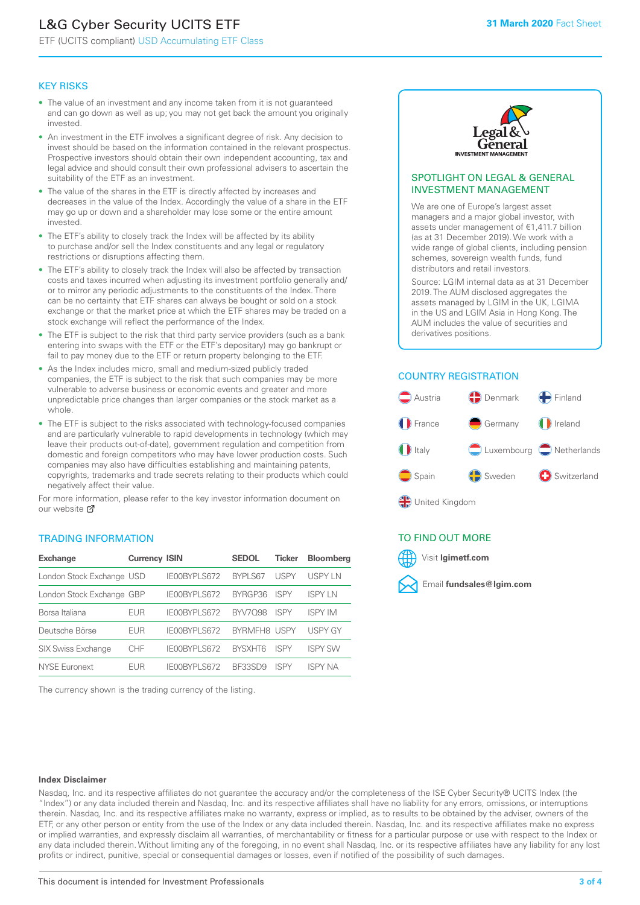# L&G Cyber Security UCITS ETF

ETF (UCITS compliant) USD Accumulating ETF Class

# KEY RISKS

- The value of an investment and any income taken from it is not guaranteed and can go down as well as up; you may not get back the amount you originally invested.
- An investment in the ETF involves a significant degree of risk. Any decision to invest should be based on the information contained in the relevant prospectus. Prospective investors should obtain their own independent accounting, tax and legal advice and should consult their own professional advisers to ascertain the suitability of the ETF as an investment.
- The value of the shares in the ETF is directly affected by increases and decreases in the value of the Index. Accordingly the value of a share in the ETF may go up or down and a shareholder may lose some or the entire amount invested.
- The ETF's ability to closely track the Index will be affected by its ability to purchase and/or sell the Index constituents and any legal or regulatory restrictions or disruptions affecting them.
- The ETF's ability to closely track the Index will also be affected by transaction costs and taxes incurred when adjusting its investment portfolio generally and/ or to mirror any periodic adjustments to the constituents of the Index. There can be no certainty that ETF shares can always be bought or sold on a stock exchange or that the market price at which the ETF shares may be traded on a stock exchange will reflect the performance of the Index.
- The ETF is subject to the risk that third party service providers (such as a bank entering into swaps with the ETF or the ETF's depositary) may go bankrupt or fail to pay money due to the ETF or return property belonging to the ETF.
- As the Index includes micro, small and medium-sized publicly traded companies, the ETF is subject to the risk that such companies may be more vulnerable to adverse business or economic events and greater and more unpredictable price changes than larger companies or the stock market as a whole.
- The ETF is subject to the risks associated with technology-focused companies and are particularly vulnerable to rapid developments in technology (which may leave their products out-of-date), government regulation and competition from domestic and foreign competitors who may have lower production costs. Such companies may also have difficulties establishing and maintaining patents, copyrights, trademarks and trade secrets relating to their products which could negatively affect their value.

For more information, please refer to the key investor information document on our website Ø

# TRADING INFORMATION

| <b>Exchange</b>           | <b>Currency ISIN</b> |                     | <b>SEDOL</b>   | <b>Ticker</b> | <b>Bloomberg</b> |
|---------------------------|----------------------|---------------------|----------------|---------------|------------------|
| London Stock Exchange USD |                      | IE00BYPLS672        | <b>BYPLS67</b> | <b>USPY</b>   | USPY IN          |
| London Stock Exchange GBP |                      | IE00BYPLS672        | BYRGP36        | <b>ISPY</b>   | ISPY I N         |
| Borsa Italiana            | <b>EUR</b>           | IE00BYPLS672        | <b>BYV7098</b> | <b>ISPY</b>   | <b>ISPY IM</b>   |
| Deutsche Börse            | <b>EUR</b>           | <b>IFOORYPLS672</b> | BYRMFH8 USPY   |               | <b>USPY GY</b>   |
| <b>SIX Swiss Exchange</b> | CHF                  | IE00BYPLS672        | <b>RYSXHT6</b> | <b>ISPY</b>   | <b>ISPY SW</b>   |
| <b>NYSE Euronext</b>      | FUR                  | IF00BYPLS672        | <b>BE33SD9</b> | ISPY          | <b>ISPY NA</b>   |

The currency shown is the trading currency of the listing.



# SPOTLIGHT ON LEGAL & GENERAL INVESTMENT MANAGEMENT

We are one of Europe's largest asset managers and a major global investor, with assets under management of €1,411.7 billion (as at 31 December 2019). We work with a wide range of global clients, including pension schemes, sovereign wealth funds, fund distributors and retail investors.

Source: LGIM internal data as at 31 December 2019. The AUM disclosed aggregates the assets managed by LGIM in the UK, LGIMA in the US and LGIM Asia in Hong Kong. The AUM includes the value of securities and derivatives positions.

# COUNTRY REGISTRATION



# TO FIND OUT MORE



#### **Index Disclaimer**

Nasdaq, Inc. and its respective affiliates do not guarantee the accuracy and/or the completeness of the ISE Cyber Security® UCITS Index (the "Index") or any data included therein and Nasdaq, Inc. and its respective affiliates shall have no liability for any errors, omissions, or interruptions therein. Nasdaq, Inc. and its respective affiliates make no warranty, express or implied, as to results to be obtained by the adviser, owners of the ETF, or any other person or entity from the use of the Index or any data included therein. Nasdaq, Inc. and its respective affiliates make no express or implied warranties, and expressly disclaim all warranties, of merchantability or fitness for a particular purpose or use with respect to the Index or any data included therein. Without limiting any of the foregoing, in no event shall Nasdaq, Inc. or its respective affiliates have any liability for any lost profits or indirect, punitive, special or consequential damages or losses, even if notified of the possibility of such damages.